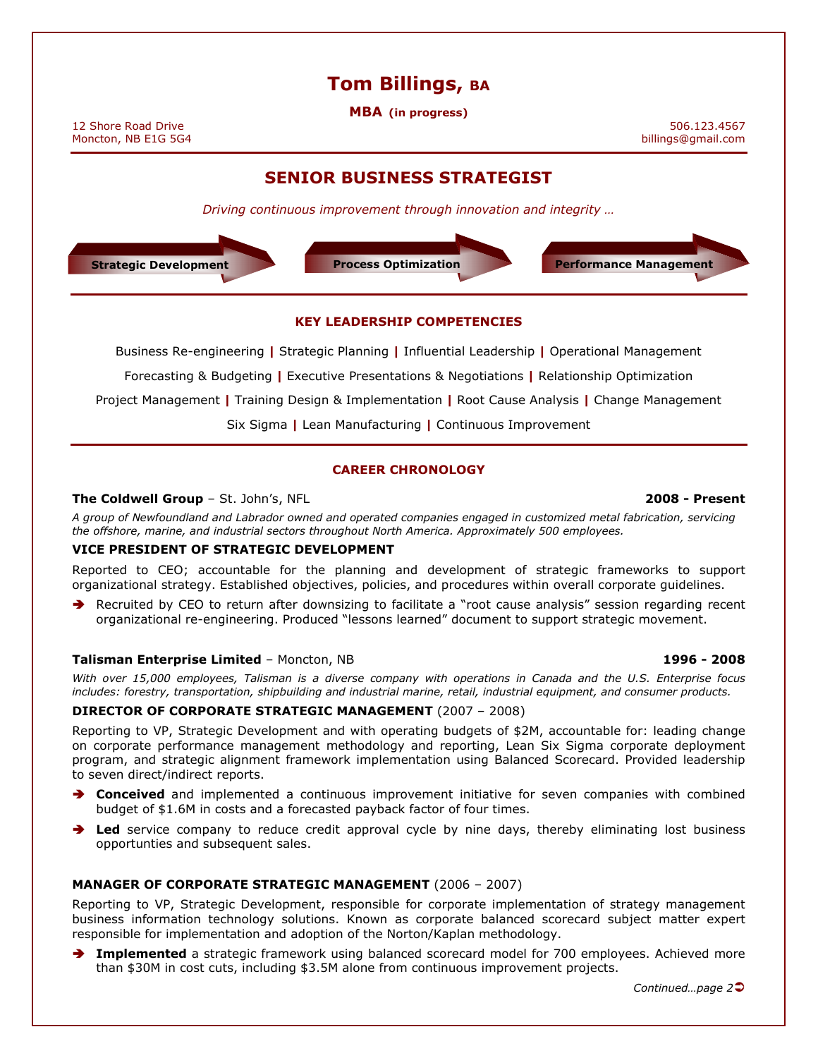# Tom Billings, BA

MBA (in progress)

12 Shore Road Drive 506.123.4567<br>Moncton, NB E1G 5G4 states and the set of the set of the set of the set of the set of the set of the set of th<br>pillings@gmail.com billings@gmail.com Moncton, NB E1G 5G4

# SENIOR BUSINESS STRATEGIST

Driving continuous improvement through innovation and integrity …



#### KEY LEADERSHIP COMPETENCIES

Business Re-engineering | Strategic Planning | Influential Leadership | Operational Management

Forecasting & Budgeting | Executive Presentations & Negotiations | Relationship Optimization

Project Management | Training Design & Implementation | Root Cause Analysis | Change Management

Six Sigma | Lean Manufacturing | Continuous Improvement

# CAREER CHRONOLOGY

# The Coldwell Group - St. John's, NFL 2008 - Present

A group of Newfoundland and Labrador owned and operated companies engaged in customized metal fabrication, servicing

the offshore, marine, and industrial sectors throughout North America. Approximately 500 employees.

# VICE PRESIDENT OF STRATEGIC DEVELOPMENT

Reported to CEO; accountable for the planning and development of strategic frameworks to support organizational strategy. Established objectives, policies, and procedures within overall corporate guidelines.

 Recruited by CEO to return after downsizing to facilitate a "root cause analysis" session regarding recent organizational re-engineering. Produced "lessons learned" document to support strategic movement.

# Talisman Enterprise Limited – Moncton, NB 1996 - 2008

With over 15,000 employees, Talisman is a diverse company with operations in Canada and the U.S. Enterprise focus includes: forestry, transportation, shipbuilding and industrial marine, retail, industrial equipment, and consumer products.

# DIRECTOR OF CORPORATE STRATEGIC MANAGEMENT (2007 – 2008)

Reporting to VP, Strategic Development and with operating budgets of \$2M, accountable for: leading change on corporate performance management methodology and reporting, Lean Six Sigma corporate deployment program, and strategic alignment framework implementation using Balanced Scorecard. Provided leadership to seven direct/indirect reports.

- **Conceived** and implemented a continuous improvement initiative for seven companies with combined budget of \$1.6M in costs and a forecasted payback factor of four times.
- Led service company to reduce credit approval cycle by nine days, thereby eliminating lost business opportunties and subsequent sales.

# MANAGER OF CORPORATE STRATEGIC MANAGEMENT (2006 – 2007)

Reporting to VP, Strategic Development, responsible for corporate implementation of strategy management business information technology solutions. Known as corporate balanced scorecard subject matter expert responsible for implementation and adoption of the Norton/Kaplan methodology.

Implemented a strategic framework using balanced scorecard model for 700 employees. Achieved more than \$30M in cost cuts, including \$3.5M alone from continuous improvement projects.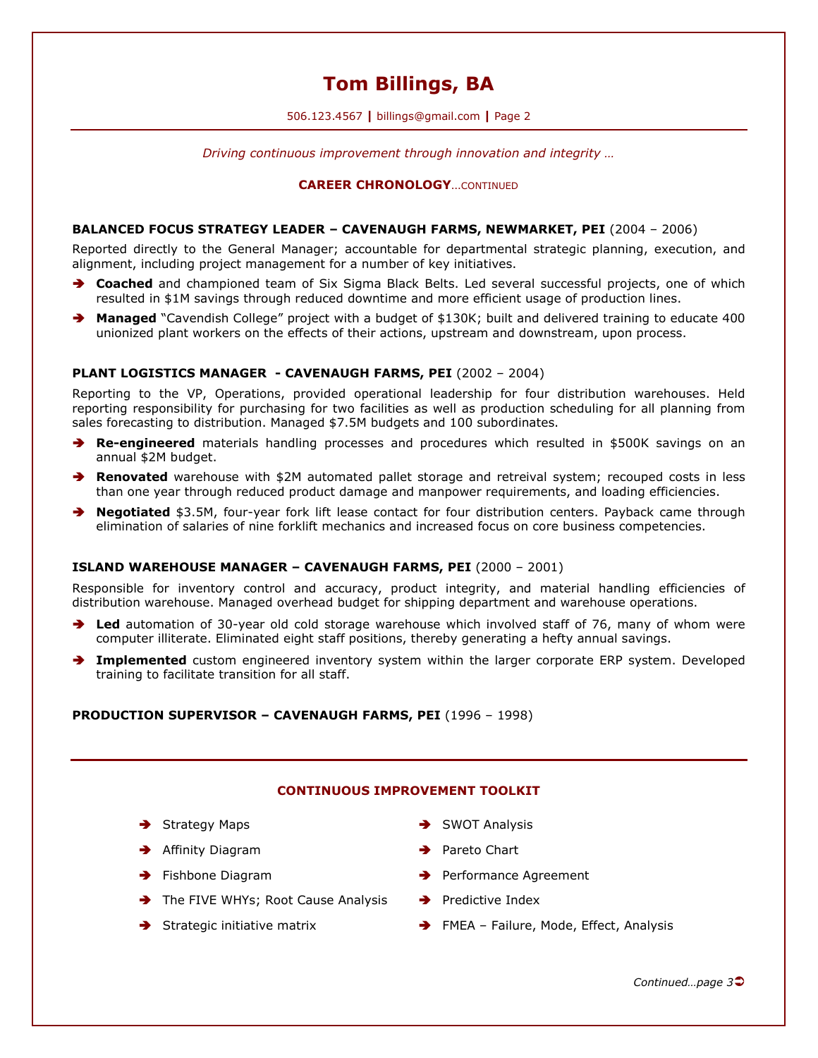# Tom Billings, BA

506.123.4567 | billings@gmail.com | Page 2

Driving continuous improvement through innovation and integrity …

#### CAREER CHRONOLOGY…CONTINUED

#### BALANCED FOCUS STRATEGY LEADER – CAVENAUGH FARMS, NEWMARKET, PEI (2004 – 2006)

Reported directly to the General Manager; accountable for departmental strategic planning, execution, and alignment, including project management for a number of key initiatives.

- ◆ Coached and championed team of Six Sigma Black Belts. Led several successful projects, one of which resulted in \$1M savings through reduced downtime and more efficient usage of production lines.
- ◆ Managed "Cavendish College" project with a budget of \$130K; built and delivered training to educate 400 unionized plant workers on the effects of their actions, upstream and downstream, upon process.

# PLANT LOGISTICS MANAGER - CAVENAUGH FARMS, PEI (2002 – 2004)

Reporting to the VP, Operations, provided operational leadership for four distribution warehouses. Held reporting responsibility for purchasing for two facilities as well as production scheduling for all planning from sales forecasting to distribution. Managed \$7.5M budgets and 100 subordinates.

- **Re-engineered** materials handling processes and procedures which resulted in \$500K savings on an annual \$2M budget.
- Renovated warehouse with \$2M automated pallet storage and retreival system; recouped costs in less than one year through reduced product damage and manpower requirements, and loading efficiencies.
- ◆ Negotiated \$3.5M, four-year fork lift lease contact for four distribution centers. Payback came through elimination of salaries of nine forklift mechanics and increased focus on core business competencies.

#### ISLAND WAREHOUSE MANAGER – CAVENAUGH FARMS, PEI (2000 – 2001)

Responsible for inventory control and accuracy, product integrity, and material handling efficiencies of distribution warehouse. Managed overhead budget for shipping department and warehouse operations.

- Led automation of 30-year old cold storage warehouse which involved staff of 76, many of whom were computer illiterate. Eliminated eight staff positions, thereby generating a hefty annual savings.
- **Implemented** custom engineered inventory system within the larger corporate ERP system. Developed training to facilitate transition for all staff.

#### PRODUCTION SUPERVISOR – CAVENAUGH FARMS, PEI (1996 – 1998)

#### CONTINUOUS IMPROVEMENT TOOLKIT

- $\rightarrow$  Strategy Maps  $\rightarrow$  SWOT Analysis
- → Affinity Diagram → Pareto Chart
- 
- $\rightarrow$  The FIVE WHYs; Root Cause Analysis  $\rightarrow$  Predictive Index
- 
- 
- 
- → Fishbone Diagram 
→ Performance Agreement
	-
- → Strategic initiative matrix → FMEA Failure, Mode, Effect, Analysis

Continued…page 3<del>○</del>